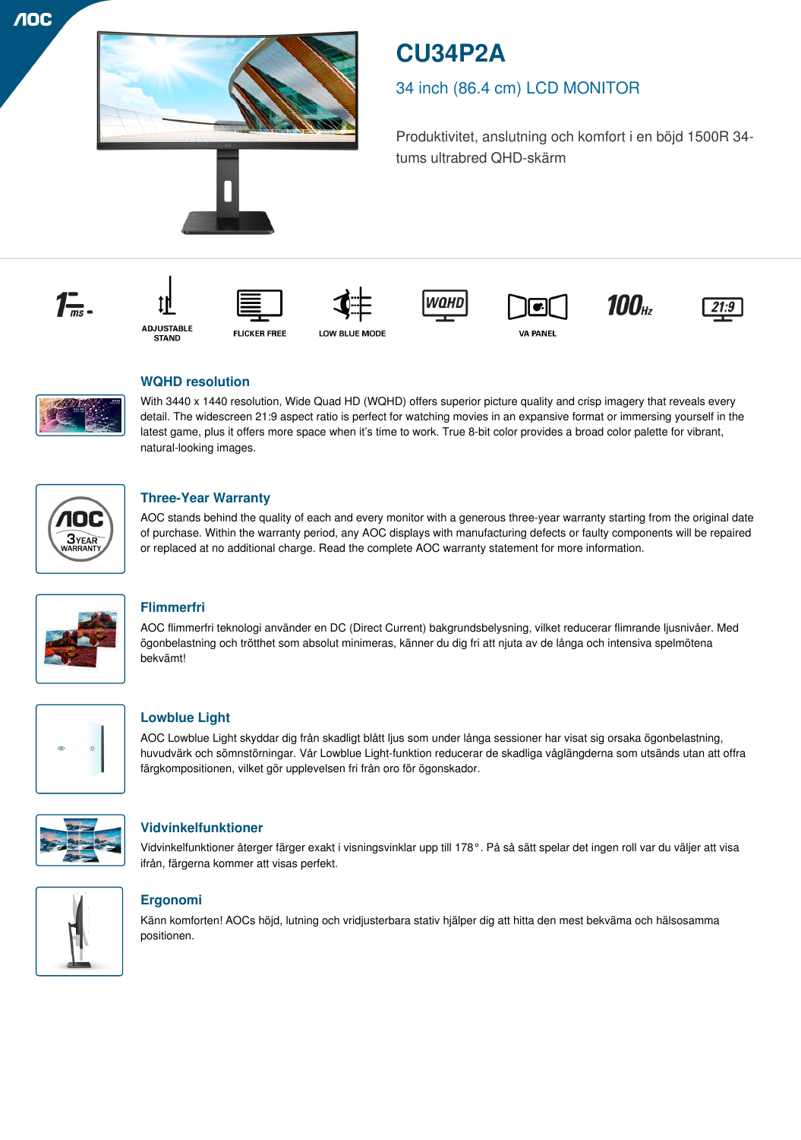

# **CU34P2A**

## 34 inch (86.4 cm) LCD MONITOR

Produktivitet, anslutning och komfort i en böjd 1500R 34 tums ultrabred QHD-skärm





**FLICKER FREE** 













## **WQHD resolution**

With 3440 x 1440 resolution, Wide Quad HD (WQHD) offers superior picture quality and crisp imagery that reveals every detail. The widescreen 21:9 aspect ratio is perfect for watching movies in an expansive format or immersing yourself in the latest game, plus it offers more space when it's time to work. True 8-bit color provides a broad color palette for vibrant, natural-looking images.



## **Three-Year Warranty**

AOC stands behind the quality of each and every monitor with a generous three-year warranty starting from the original date of purchase. Within the warranty period, any AOC displays with manufacturing defects or faulty components will be repaired or replaced at no additional charge. Read the complete AOC warranty statement for more information.



## **Flimmerfri**

AOC flimmerfri teknologi använder en DC (Direct Current) bakgrundsbelysning, vilket reducerar flimrande ljusnivåer. Med ögonbelastning och trötthet som absolut minimeras, känner du dig fri att njuta av de långa och intensiva spelmötena bekvämt!



## **Lowblue Light**

AOC Lowblue Light skyddar dig från skadligt blått ljus som under långa sessioner har visat sig orsaka ögonbelastning, huvudvärk och sömnstörningar. Vår Lowblue Light-funktion reducerar de skadliga våglängderna som utsänds utan att offra färgkompositionen, vilket gör upplevelsen fri från oro för ögonskador.



## **Vidvinkelfunktioner**

Vidvinkelfunktioner återger färger exakt i visningsvinklar upp till 178°. På så sätt spelar det ingen roll var du väljer att visa ifrån, färgerna kommer att visas perfekt.



## **Ergonomi**

Känn komforten! AOCs höjd, lutning och vridjusterbara stativ hjälper dig att hitta den mest bekväma och hälsosamma positionen.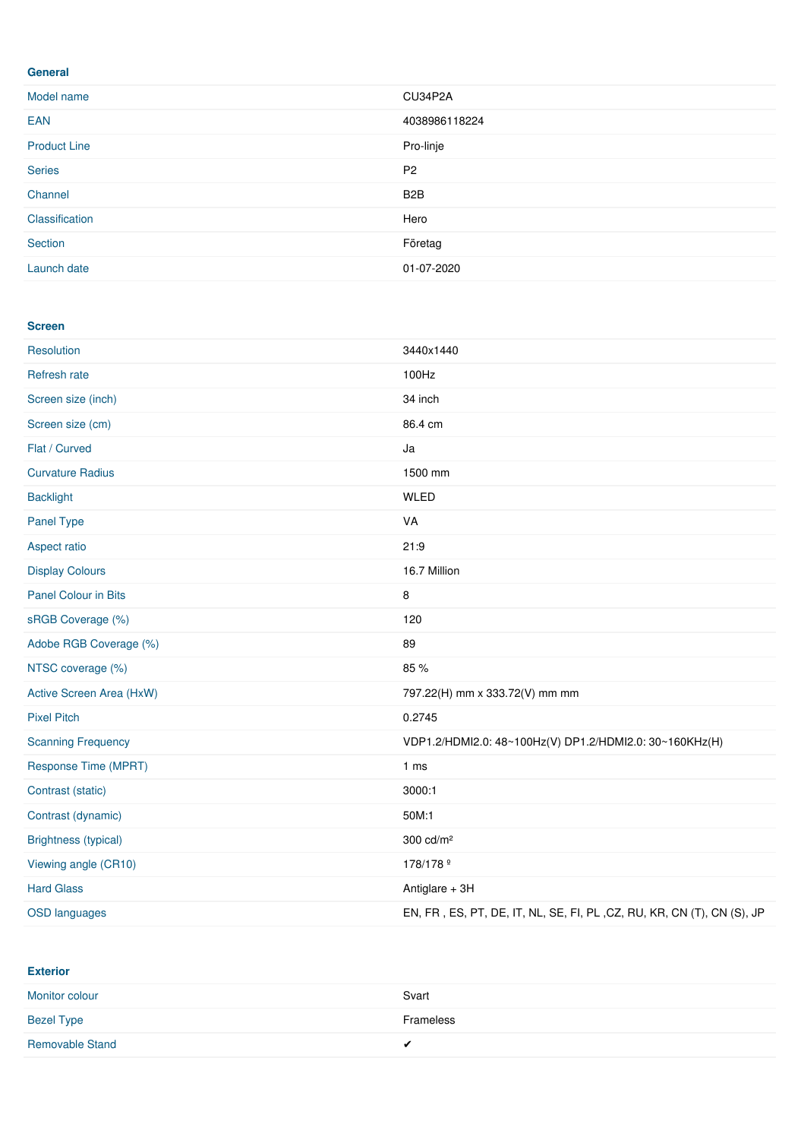#### **General**

| Model name          | CU34P2A          |
|---------------------|------------------|
| <b>EAN</b>          | 4038986118224    |
| <b>Product Line</b> | Pro-linje        |
| <b>Series</b>       | P <sub>2</sub>   |
| Channel             | B <sub>2</sub> B |
| Classification      | Hero             |
| Section             | Företag          |
| Launch date         | 01-07-2020       |

#### **Screen**

| Resolution                  | 3440x1440                                                              |  |
|-----------------------------|------------------------------------------------------------------------|--|
| Refresh rate                | 100Hz                                                                  |  |
| Screen size (inch)          | 34 inch                                                                |  |
| Screen size (cm)            | 86.4 cm                                                                |  |
| Flat / Curved               | Ja                                                                     |  |
| <b>Curvature Radius</b>     | 1500 mm                                                                |  |
| <b>Backlight</b>            | <b>WLED</b>                                                            |  |
| Panel Type                  | VA                                                                     |  |
| Aspect ratio                | 21:9                                                                   |  |
| <b>Display Colours</b>      | 16.7 Million                                                           |  |
| <b>Panel Colour in Bits</b> | 8                                                                      |  |
| sRGB Coverage (%)           | 120                                                                    |  |
| Adobe RGB Coverage (%)      | 89                                                                     |  |
| NTSC coverage (%)           | 85 %                                                                   |  |
| Active Screen Area (HxW)    | 797.22(H) mm x 333.72(V) mm mm                                         |  |
| <b>Pixel Pitch</b>          | 0.2745                                                                 |  |
| <b>Scanning Frequency</b>   | VDP1.2/HDMI2.0: 48~100Hz(V) DP1.2/HDMI2.0: 30~160KHz(H)                |  |
| Response Time (MPRT)        | 1 <sub>ms</sub>                                                        |  |
| Contrast (static)           | 3000:1                                                                 |  |
| Contrast (dynamic)          | 50M:1                                                                  |  |
| <b>Brightness (typical)</b> | 300 cd/m <sup>2</sup>                                                  |  |
| Viewing angle (CR10)        | 178/178 <sup>o</sup>                                                   |  |
| <b>Hard Glass</b>           | Antiglare $+3H$                                                        |  |
| <b>OSD languages</b>        | EN, FR, ES, PT, DE, IT, NL, SE, FI, PL, CZ, RU, KR, CN (T), CN (S), JP |  |

**Exterior**

| Monitor colour         | Svart     |
|------------------------|-----------|
| <b>Bezel Type</b>      | Frameless |
| <b>Removable Stand</b> | $\cdot$   |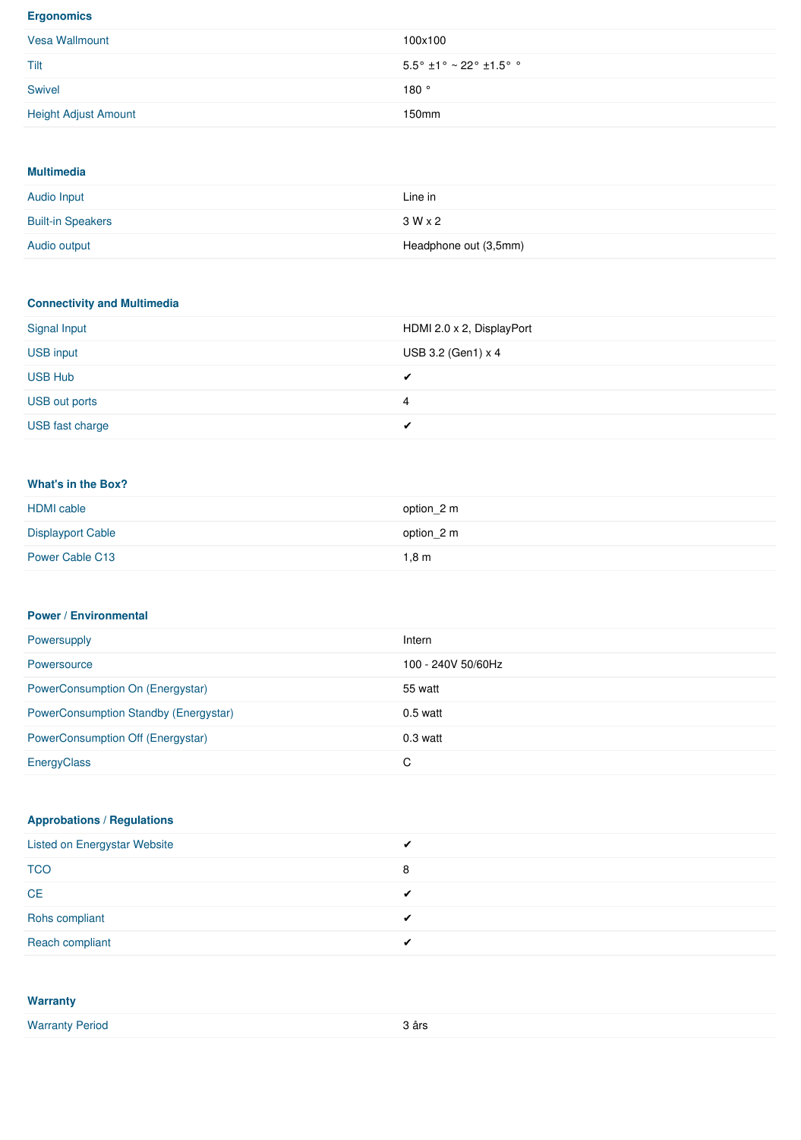#### **Ergonomics**

| Vesa Wallmount              | 100x100                                                                |
|-----------------------------|------------------------------------------------------------------------|
| Tilt                        | $5.5^{\circ}$ ±1 $^{\circ}$ ~ 22 $^{\circ}$ ±1.5 $^{\circ}$ $^{\circ}$ |
| Swivel                      | 180°                                                                   |
| <b>Height Adjust Amount</b> | 150 <sub>mm</sub>                                                      |

#### **Multimedia**

| Audio Input              | Line in               |
|--------------------------|-----------------------|
| <b>Built-in Speakers</b> | $3W \times 2$         |
| Audio output             | Headphone out (3,5mm) |

#### **Connectivity and Multimedia**

| Signal Input    | HDMI 2.0 x 2, DisplayPort |
|-----------------|---------------------------|
| USB input       | USB 3.2 (Gen1) $\times$ 4 |
| <b>USB Hub</b>  |                           |
| USB out ports   | 4                         |
| USB fast charge |                           |

#### **What's in the Box?**

| <b>HDMI</b> cable        | option 2 m |
|--------------------------|------------|
| <b>Displayport Cable</b> | option 2 m |
| Power Cable C13          | 1,8m       |

#### **Power / Environmental**

| Powersupply                                  | Intern             |
|----------------------------------------------|--------------------|
| Powersource                                  | 100 - 240V 50/60Hz |
| PowerConsumption On (Energystar)             | 55 watt            |
| <b>PowerConsumption Standby (Energystar)</b> | $0.5$ watt         |
| PowerConsumption Off (Energystar)            | $0.3$ watt         |
| EnergyClass                                  | C                  |

#### **Approbations / Regulations**

| <b>Listed on Energystar Website</b> |  |
|-------------------------------------|--|
| <b>TCO</b>                          |  |
| <b>CE</b>                           |  |
| Rohs compliant                      |  |
| Reach compliant                     |  |

| <b>Warranty</b>        |       |
|------------------------|-------|
| <b>Warranty Period</b> | 3 års |